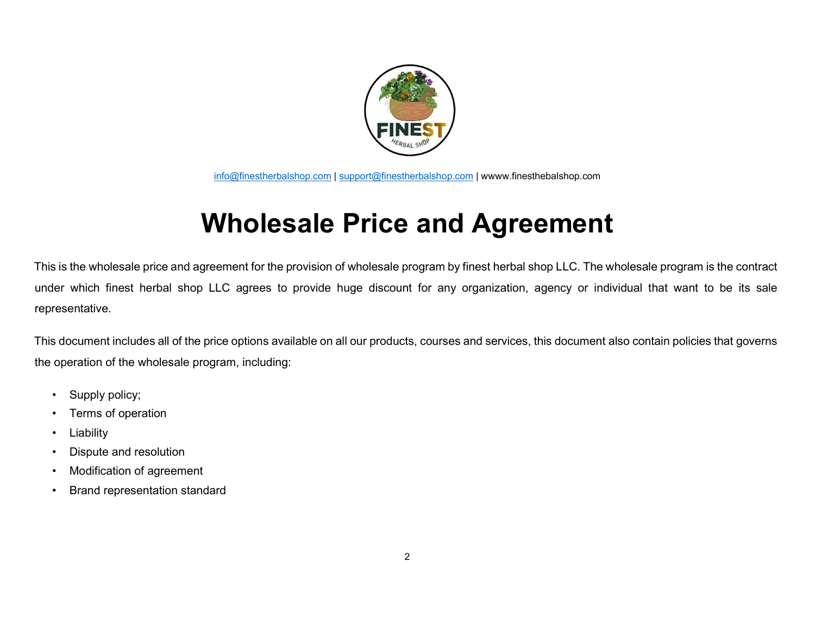

info@finestherbalshop.com | support@finestherbalshop.com | wwww.finesthebalshop.com

# Wholesale Price and Agreement

This is the wholesale price and agreement for the provision of wholesale program by finest herbal shop LLC. The wholesale program is the contract under which finest herbal shop LLC agrees to provide huge discount for any organization, agency or individual that want to be its sale representative.

This document includes all of the price options available on all our products, courses and services, this document also contain policies that governs the operation of the wholesale program, including:

- Supply policy;
- Terms of operation
- **Liability**
- Dispute and resolution
- Modification of agreement
- Brand representation standard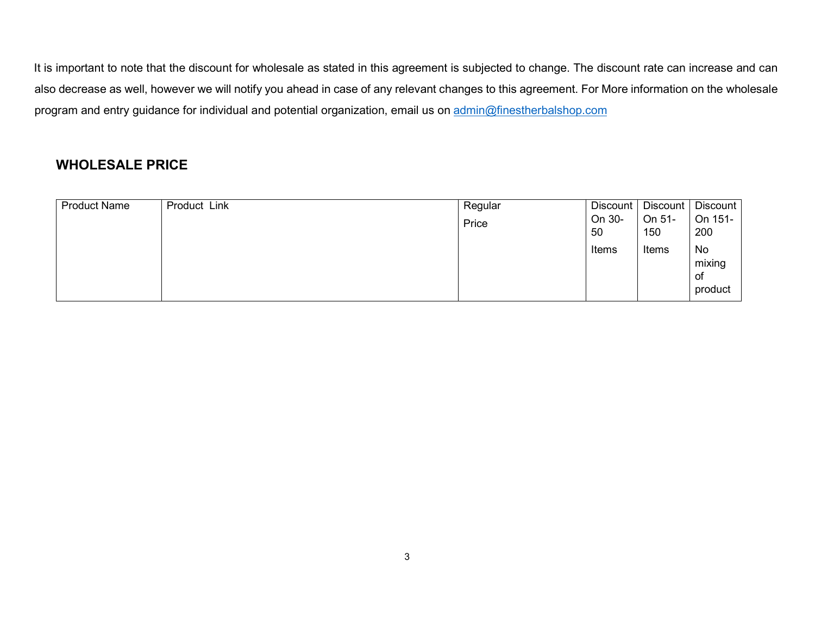It is important to note that the discount for wholesale as stated in this agreement is subjected to change. The discount rate can increase and can also decrease as well, however we will notify you ahead in case of any relevant changes to this agreement. For More information on the wholesale program and entry guidance for individual and potential organization, email us on admin@finestherbalshop.com

# WHOLESALE PRICE

| <b>Product Name</b> | Product Link | Regular | <b>Discount</b> | Discount      | Discount                      |
|---------------------|--------------|---------|-----------------|---------------|-------------------------------|
|                     |              | Price   | On 30-<br>50    | On 51-<br>150 | On 151-<br>200                |
|                     |              |         | Items           | Items         | No<br>mixing<br>of<br>product |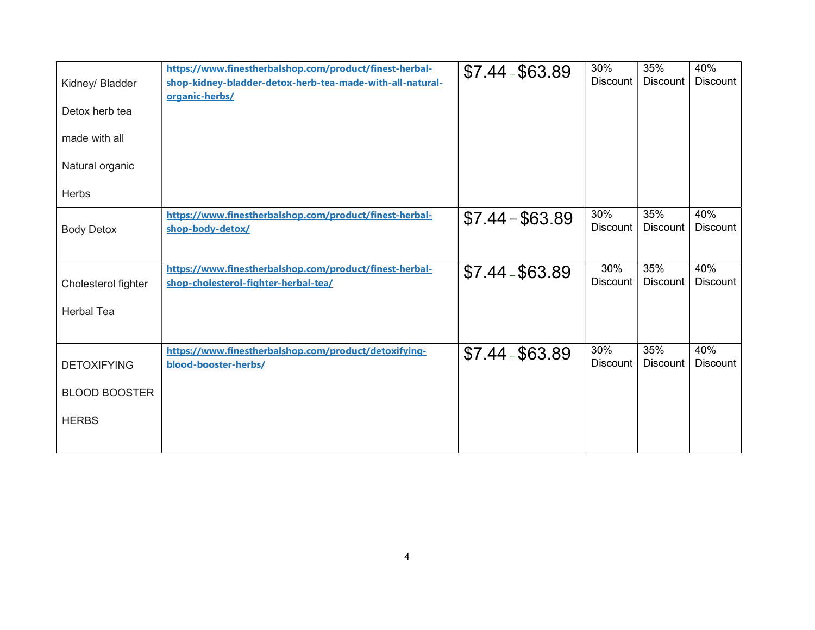| Kidney/ Bladder<br>Detox herb tea<br>made with all<br>Natural organic | https://www.finestherbalshop.com/product/finest-herbal-<br>shop-kidney-bladder-detox-herb-tea-made-with-all-natural-<br>organic-herbs/ | $$7.44 - $63.89$ | 30%<br><b>Discount</b> | 35%<br><b>Discount</b> | 40%<br><b>Discount</b> |
|-----------------------------------------------------------------------|----------------------------------------------------------------------------------------------------------------------------------------|------------------|------------------------|------------------------|------------------------|
| Herbs                                                                 |                                                                                                                                        |                  |                        |                        |                        |
| <b>Body Detox</b>                                                     | https://www.finestherbalshop.com/product/finest-herbal-<br>shop-body-detox/                                                            | $$7.44 - $63.89$ | 30%<br><b>Discount</b> | 35%<br><b>Discount</b> | 40%<br><b>Discount</b> |
| Cholesterol fighter                                                   | https://www.finestherbalshop.com/product/finest-herbal-<br>shop-cholesterol-fighter-herbal-tea/                                        | $$7.44 - $63.89$ | 30%<br><b>Discount</b> | 35%<br><b>Discount</b> | 40%<br>Discount        |
| <b>Herbal Tea</b>                                                     |                                                                                                                                        |                  |                        |                        |                        |
| <b>DETOXIFYING</b>                                                    | https://www.finestherbalshop.com/product/detoxifying-<br>blood-booster-herbs/                                                          | $$7.44 - $63.89$ | 30%<br><b>Discount</b> | 35%<br><b>Discount</b> | 40%<br>Discount        |
| <b>BLOOD BOOSTER</b>                                                  |                                                                                                                                        |                  |                        |                        |                        |
| <b>HERBS</b>                                                          |                                                                                                                                        |                  |                        |                        |                        |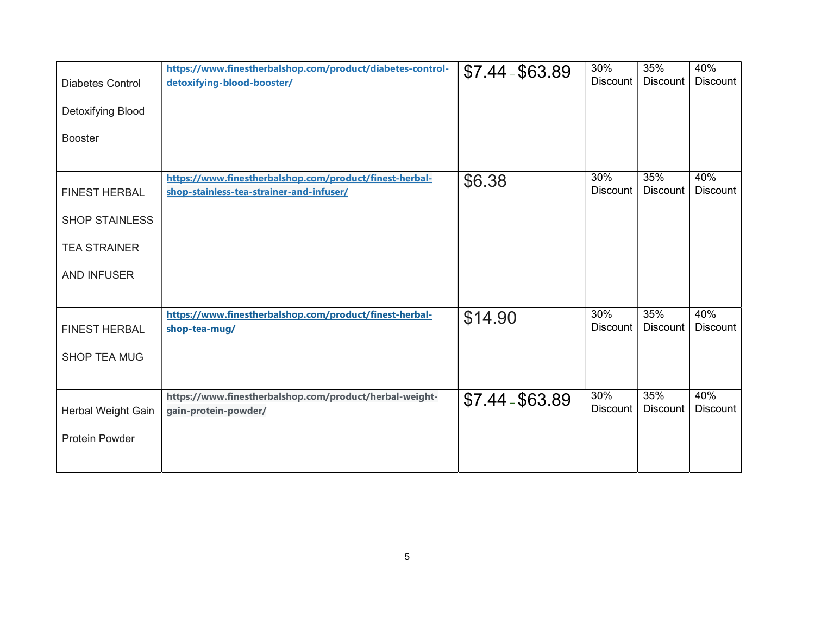| <b>Diabetes Control</b> | https://www.finestherbalshop.com/product/diabetes-control-<br>detoxifying-blood-booster/            | $$7.44 - $63.89$ | 30%<br><b>Discount</b> | 35%<br><b>Discount</b> | 40%<br><b>Discount</b> |
|-------------------------|-----------------------------------------------------------------------------------------------------|------------------|------------------------|------------------------|------------------------|
| Detoxifying Blood       |                                                                                                     |                  |                        |                        |                        |
| <b>Booster</b>          |                                                                                                     |                  |                        |                        |                        |
| <b>FINEST HERBAL</b>    | https://www.finestherbalshop.com/product/finest-herbal-<br>shop-stainless-tea-strainer-and-infuser/ | \$6.38           | 30%<br><b>Discount</b> | 35%<br><b>Discount</b> | 40%<br><b>Discount</b> |
| <b>SHOP STAINLESS</b>   |                                                                                                     |                  |                        |                        |                        |
| <b>TEA STRAINER</b>     |                                                                                                     |                  |                        |                        |                        |
| <b>AND INFUSER</b>      |                                                                                                     |                  |                        |                        |                        |
| <b>FINEST HERBAL</b>    | https://www.finestherbalshop.com/product/finest-herbal-<br>shop-tea-mug/                            | \$14.90          | 30%<br><b>Discount</b> | 35%<br><b>Discount</b> | 40%<br><b>Discount</b> |
| <b>SHOP TEA MUG</b>     |                                                                                                     |                  |                        |                        |                        |
| Herbal Weight Gain      | https://www.finestherbalshop.com/product/herbal-weight-<br>gain-protein-powder/                     | $$7.44 - $63.89$ | 30%<br><b>Discount</b> | 35%<br><b>Discount</b> | 40%<br><b>Discount</b> |
| <b>Protein Powder</b>   |                                                                                                     |                  |                        |                        |                        |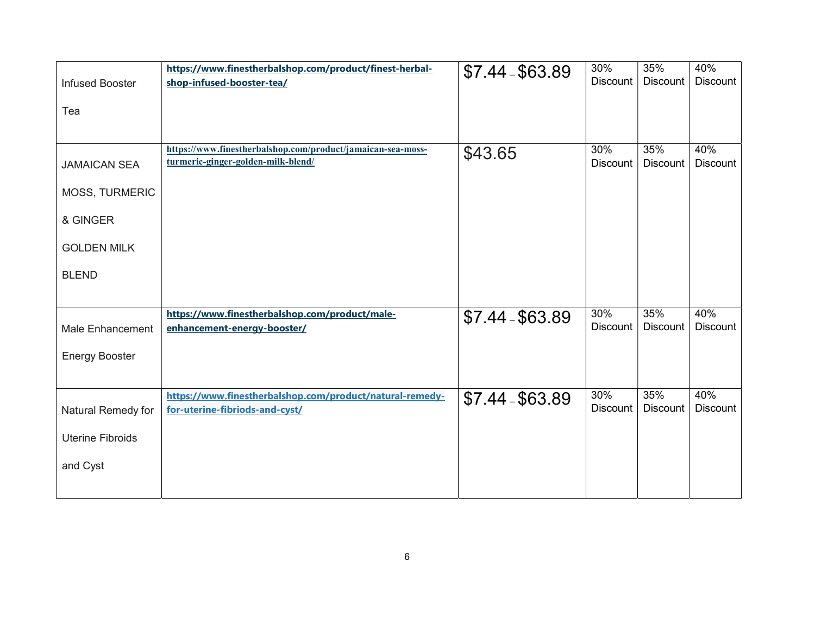| <b>Infused Booster</b>  | https://www.finestherbalshop.com/product/finest-herbal-<br>shop-infused-booster-tea/              | $$7.44 - $63.89$ | 30%<br><b>Discount</b> | 35%<br><b>Discount</b> | 40%<br><b>Discount</b> |
|-------------------------|---------------------------------------------------------------------------------------------------|------------------|------------------------|------------------------|------------------------|
| Tea                     |                                                                                                   |                  |                        |                        |                        |
|                         |                                                                                                   |                  |                        |                        |                        |
| <b>JAMAICAN SEA</b>     | https://www.finestherbalshop.com/product/jamaican-sea-moss-<br>turmeric-ginger-golden-milk-blend/ | \$43.65          | 30%<br><b>Discount</b> | 35%<br><b>Discount</b> | 40%<br><b>Discount</b> |
| <b>MOSS, TURMERIC</b>   |                                                                                                   |                  |                        |                        |                        |
| & GINGER                |                                                                                                   |                  |                        |                        |                        |
| <b>GOLDEN MILK</b>      |                                                                                                   |                  |                        |                        |                        |
| <b>BLEND</b>            |                                                                                                   |                  |                        |                        |                        |
|                         | https://www.finestherbalshop.com/product/male-                                                    |                  | 30%                    | 35%                    | 40%                    |
| Male Enhancement        | enhancement-energy-booster/                                                                       | $$7.44 - $63.89$ | <b>Discount</b>        | <b>Discount</b>        | <b>Discount</b>        |
| <b>Energy Booster</b>   |                                                                                                   |                  |                        |                        |                        |
|                         |                                                                                                   |                  |                        |                        |                        |
| Natural Remedy for      | https://www.finestherbalshop.com/product/natural-remedy-<br>for-uterine-fibriods-and-cyst/        | $$7.44 - $63.89$ | 30%<br><b>Discount</b> | 35%<br><b>Discount</b> | 40%<br><b>Discount</b> |
| <b>Uterine Fibroids</b> |                                                                                                   |                  |                        |                        |                        |
| and Cyst                |                                                                                                   |                  |                        |                        |                        |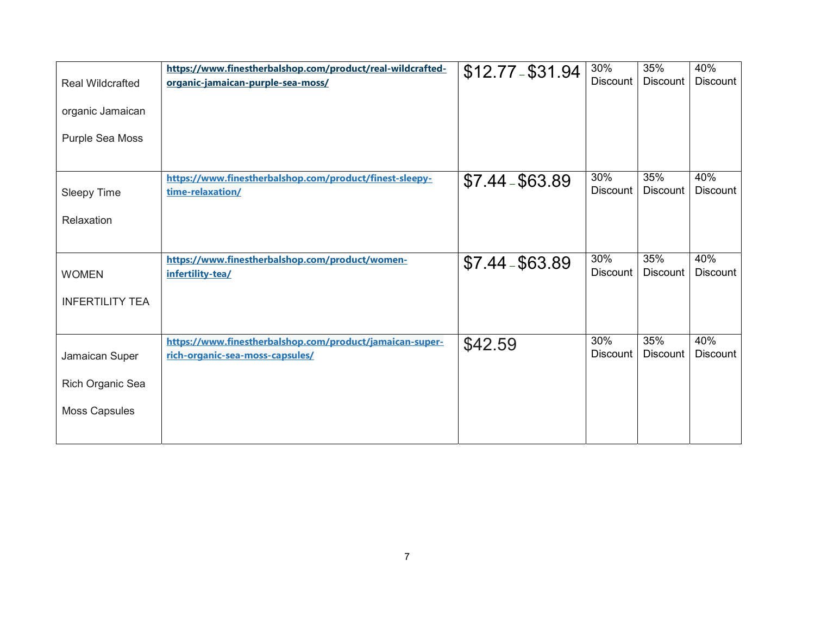| <b>Real Wildcrafted</b> | https://www.finestherbalshop.com/product/real-wildcrafted-<br>organic-jamaican-purple-sea-moss/ | $$12.77 - $31.94$ | 30%<br><b>Discount</b> | 35%<br><b>Discount</b> | 40%<br><b>Discount</b> |
|-------------------------|-------------------------------------------------------------------------------------------------|-------------------|------------------------|------------------------|------------------------|
| organic Jamaican        |                                                                                                 |                   |                        |                        |                        |
| Purple Sea Moss         |                                                                                                 |                   |                        |                        |                        |
| Sleepy Time             | https://www.finestherbalshop.com/product/finest-sleepy-<br>time-relaxation/                     | $$7.44 - $63.89$  | 30%<br><b>Discount</b> | 35%<br><b>Discount</b> | 40%<br><b>Discount</b> |
| Relaxation              |                                                                                                 |                   |                        |                        |                        |
| <b>WOMEN</b>            | https://www.finestherbalshop.com/product/women-<br>infertility-tea/                             | $$7.44 - $63.89$  | 30%<br><b>Discount</b> | 35%<br><b>Discount</b> | 40%<br><b>Discount</b> |
| <b>INFERTILITY TEA</b>  |                                                                                                 |                   |                        |                        |                        |
| Jamaican Super          | https://www.finestherbalshop.com/product/jamaican-super-<br>rich-organic-sea-moss-capsules/     | \$42.59           | 30%<br><b>Discount</b> | 35%<br><b>Discount</b> | 40%<br><b>Discount</b> |
| Rich Organic Sea        |                                                                                                 |                   |                        |                        |                        |
| Moss Capsules           |                                                                                                 |                   |                        |                        |                        |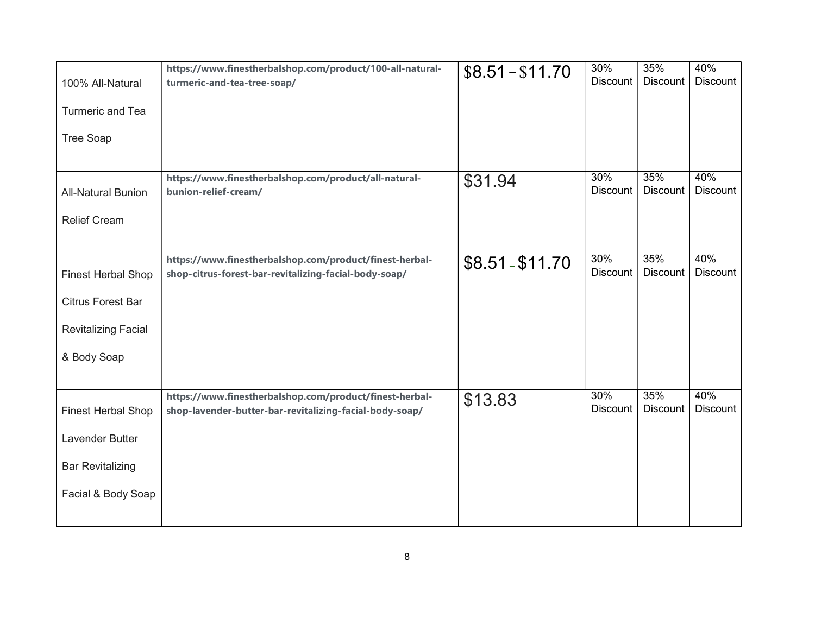| 100% All-Natural           | https://www.finestherbalshop.com/product/100-all-natural-<br>turmeric-and-tea-tree-soap/                           | $$8.51 - $11.70$ | 30%<br><b>Discount</b> | 35%<br><b>Discount</b> | 40%<br><b>Discount</b> |
|----------------------------|--------------------------------------------------------------------------------------------------------------------|------------------|------------------------|------------------------|------------------------|
| <b>Turmeric and Tea</b>    |                                                                                                                    |                  |                        |                        |                        |
| <b>Tree Soap</b>           |                                                                                                                    |                  |                        |                        |                        |
|                            |                                                                                                                    |                  |                        |                        | 40%                    |
| <b>All-Natural Bunion</b>  | https://www.finestherbalshop.com/product/all-natural-<br>bunion-relief-cream/                                      | \$31.94          | 30%<br><b>Discount</b> | 35%<br><b>Discount</b> | <b>Discount</b>        |
| <b>Relief Cream</b>        |                                                                                                                    |                  |                        |                        |                        |
|                            | https://www.finestherbalshop.com/product/finest-herbal-                                                            |                  | 30%                    | 35%                    | 40%                    |
| Finest Herbal Shop         | shop-citrus-forest-bar-revitalizing-facial-body-soap/                                                              | $$8.51 - $11.70$ | <b>Discount</b>        | <b>Discount</b>        | <b>Discount</b>        |
| <b>Citrus Forest Bar</b>   |                                                                                                                    |                  |                        |                        |                        |
| <b>Revitalizing Facial</b> |                                                                                                                    |                  |                        |                        |                        |
| & Body Soap                |                                                                                                                    |                  |                        |                        |                        |
|                            |                                                                                                                    |                  |                        |                        |                        |
| <b>Finest Herbal Shop</b>  | https://www.finestherbalshop.com/product/finest-herbal-<br>shop-lavender-butter-bar-revitalizing-facial-body-soap/ | \$13.83          | 30%<br><b>Discount</b> | 35%<br><b>Discount</b> | 40%<br><b>Discount</b> |
| <b>Lavender Butter</b>     |                                                                                                                    |                  |                        |                        |                        |
| <b>Bar Revitalizing</b>    |                                                                                                                    |                  |                        |                        |                        |
| Facial & Body Soap         |                                                                                                                    |                  |                        |                        |                        |
|                            |                                                                                                                    |                  |                        |                        |                        |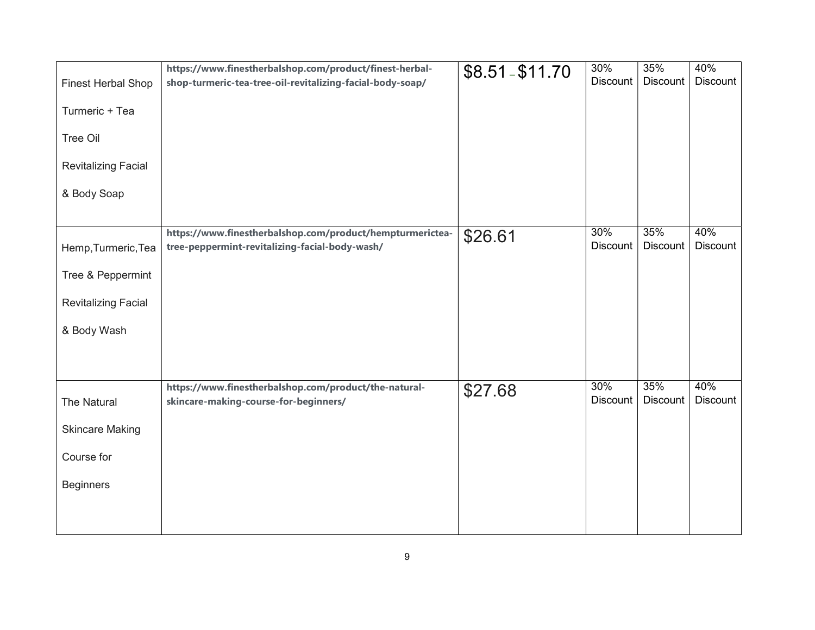| <b>Finest Herbal Shop</b>  | https://www.finestherbalshop.com/product/finest-herbal-<br>shop-turmeric-tea-tree-oil-revitalizing-facial-body-soap/ | $$8.51 - $11.70$ | 30%<br><b>Discount</b> | 35%<br><b>Discount</b> | 40%<br><b>Discount</b> |
|----------------------------|----------------------------------------------------------------------------------------------------------------------|------------------|------------------------|------------------------|------------------------|
| Turmeric + Tea             |                                                                                                                      |                  |                        |                        |                        |
| Tree Oil                   |                                                                                                                      |                  |                        |                        |                        |
| <b>Revitalizing Facial</b> |                                                                                                                      |                  |                        |                        |                        |
| & Body Soap                |                                                                                                                      |                  |                        |                        |                        |
|                            |                                                                                                                      |                  |                        |                        |                        |
| Hemp, Turmeric, Tea        | https://www.finestherbalshop.com/product/hempturmerictea-<br>tree-peppermint-revitalizing-facial-body-wash/          | \$26.61          | 30%<br><b>Discount</b> | 35%<br><b>Discount</b> | 40%<br><b>Discount</b> |
| Tree & Peppermint          |                                                                                                                      |                  |                        |                        |                        |
| <b>Revitalizing Facial</b> |                                                                                                                      |                  |                        |                        |                        |
| & Body Wash                |                                                                                                                      |                  |                        |                        |                        |
|                            |                                                                                                                      |                  |                        |                        |                        |
| The Natural                | https://www.finestherbalshop.com/product/the-natural-<br>skincare-making-course-for-beginners/                       | \$27.68          | 30%<br><b>Discount</b> | 35%<br><b>Discount</b> | 40%<br><b>Discount</b> |
| <b>Skincare Making</b>     |                                                                                                                      |                  |                        |                        |                        |
| Course for                 |                                                                                                                      |                  |                        |                        |                        |
| <b>Beginners</b>           |                                                                                                                      |                  |                        |                        |                        |
|                            |                                                                                                                      |                  |                        |                        |                        |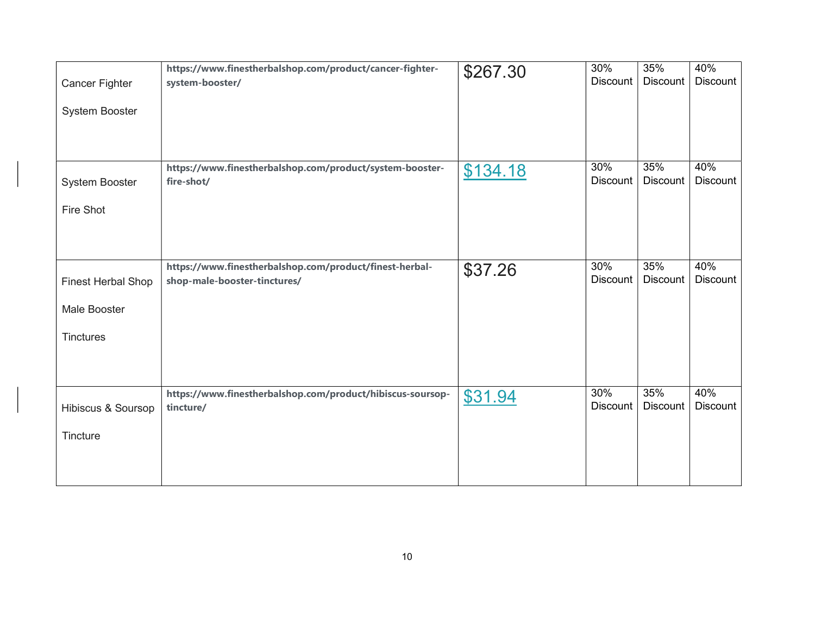| <b>Cancer Fighter</b> | https://www.finestherbalshop.com/product/cancer-fighter-<br>system-booster/             | \$267.30 | 30%<br><b>Discount</b> | 35%<br>Discount        | 40%<br><b>Discount</b> |
|-----------------------|-----------------------------------------------------------------------------------------|----------|------------------------|------------------------|------------------------|
| <b>System Booster</b> |                                                                                         |          |                        |                        |                        |
|                       |                                                                                         |          |                        |                        |                        |
| System Booster        | https://www.finestherbalshop.com/product/system-booster-<br>fire-shot/                  | \$134.18 | 30%<br><b>Discount</b> | 35%<br><b>Discount</b> | 40%<br><b>Discount</b> |
| Fire Shot             |                                                                                         |          |                        |                        |                        |
|                       |                                                                                         |          |                        |                        |                        |
| Finest Herbal Shop    | https://www.finestherbalshop.com/product/finest-herbal-<br>shop-male-booster-tinctures/ | \$37.26  | 30%<br><b>Discount</b> | 35%<br><b>Discount</b> | 40%<br><b>Discount</b> |
| Male Booster          |                                                                                         |          |                        |                        |                        |
| <b>Tinctures</b>      |                                                                                         |          |                        |                        |                        |
|                       |                                                                                         |          |                        |                        |                        |
| Hibiscus & Soursop    | https://www.finestherbalshop.com/product/hibiscus-soursop-<br>tincture/                 | \$31.94  | 30%<br><b>Discount</b> | 35%<br><b>Discount</b> | 40%<br><b>Discount</b> |
| Tincture              |                                                                                         |          |                        |                        |                        |
|                       |                                                                                         |          |                        |                        |                        |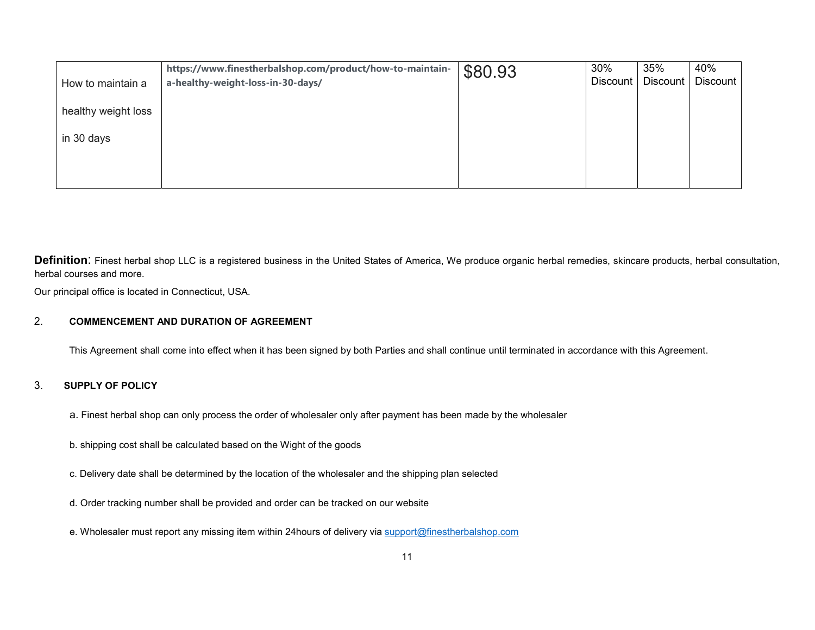| How to maintain a   | https://www.finestherbalshop.com/product/how-to-maintain-<br>a-healthy-weight-loss-in-30-days/ | \$80.93 | 30%<br>Discount | 35%<br><b>Discount</b> | 40%<br>Discount |
|---------------------|------------------------------------------------------------------------------------------------|---------|-----------------|------------------------|-----------------|
| healthy weight loss |                                                                                                |         |                 |                        |                 |
| in 30 days          |                                                                                                |         |                 |                        |                 |
|                     |                                                                                                |         |                 |                        |                 |

Definition: Finest herbal shop LLC is a registered business in the United States of America, We produce organic herbal remedies, skincare products, herbal consultation, herbal courses and more.

Our principal office is located in Connecticut, USA.

# 2. COMMENCEMENT AND DURATION OF AGREEMENT

This Agreement shall come into effect when it has been signed by both Parties and shall continue until terminated in accordance with this Agreement.

# 3. SUPPLY OF POLICY

- a. Finest herbal shop can only process the order of wholesaler only after payment has been made by the wholesaler
- b. shipping cost shall be calculated based on the Wight of the goods
- c. Delivery date shall be determined by the location of the wholesaler and the shipping plan selected
- d. Order tracking number shall be provided and order can be tracked on our website
- e. Wholesaler must report any missing item within 24hours of delivery via support@finestherbalshop.com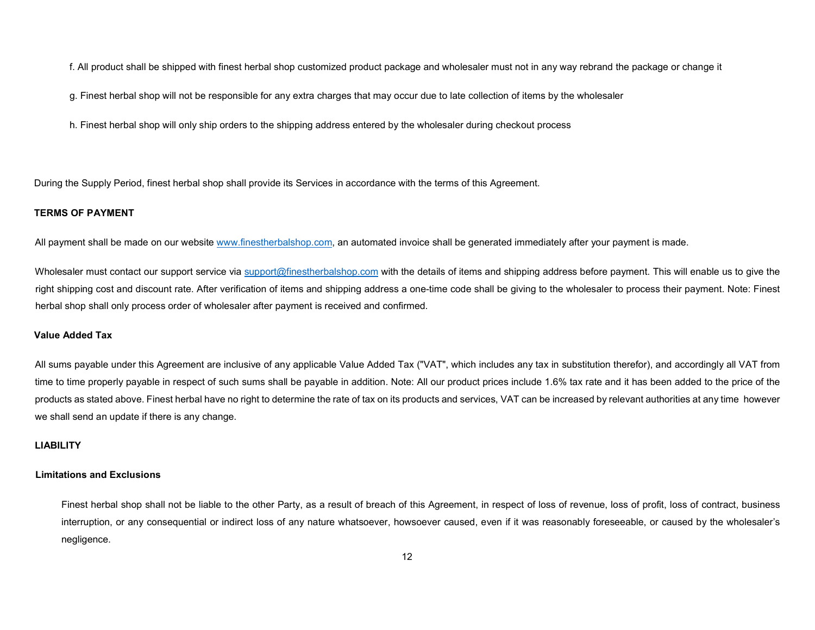f. All product shall be shipped with finest herbal shop customized product package and wholesaler must not in any way rebrand the package or change it

g. Finest herbal shop will not be responsible for any extra charges that may occur due to late collection of items by the wholesaler

h. Finest herbal shop will only ship orders to the shipping address entered by the wholesaler during checkout process

During the Supply Period, finest herbal shop shall provide its Services in accordance with the terms of this Agreement.

## TERMS OF PAYMENT

All payment shall be made on our website www.finestherbalshop.com, an automated invoice shall be generated immediately after your payment is made.

Wholesaler must contact our support service via support@finestherbalshop.com with the details of items and shipping address before payment. This will enable us to give the right shipping cost and discount rate. After verification of items and shipping address a one-time code shall be giving to the wholesaler to process their payment. Note: Finest herbal shop shall only process order of wholesaler after payment is received and confirmed.

### Value Added Tax

All sums payable under this Agreement are inclusive of any applicable Value Added Tax ("VAT", which includes any tax in substitution therefor), and accordingly all VAT from time to time properly payable in respect of such sums shall be payable in addition. Note: All our product prices include 1.6% tax rate and it has been added to the price of the products as stated above. Finest herbal have no right to determine the rate of tax on its products and services, VAT can be increased by relevant authorities at any time however we shall send an update if there is any change.

# **LIABILITY**

### Limitations and Exclusions

Finest herbal shop shall not be liable to the other Party, as a result of breach of this Agreement, in respect of loss of revenue, loss of profit, loss of contract, business interruption, or any consequential or indirect loss of any nature whatsoever, howsoever caused, even if it was reasonably foreseeable, or caused by the wholesaler's negligence.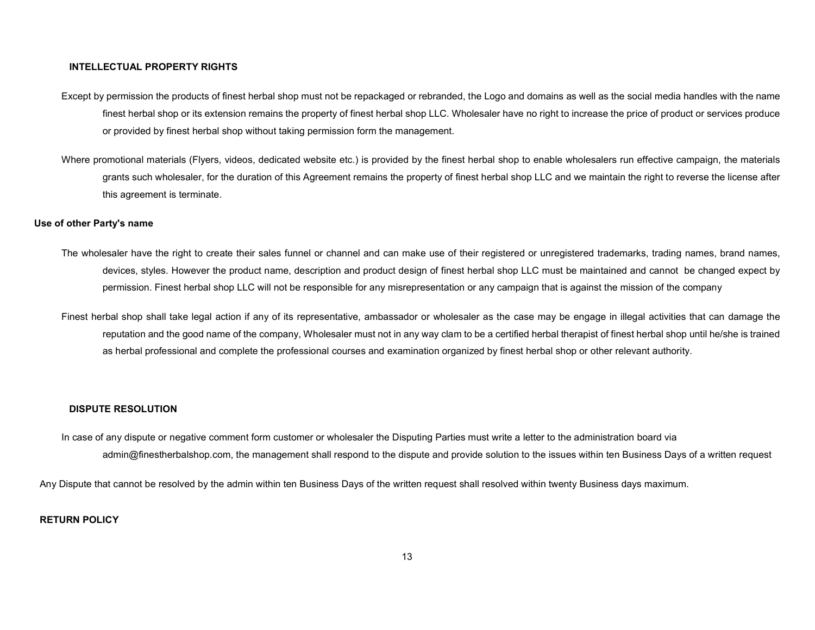### INTELLECTUAL PROPERTY RIGHTS

- Except by permission the products of finest herbal shop must not be repackaged or rebranded, the Logo and domains as well as the social media handles with the name finest herbal shop or its extension remains the property of finest herbal shop LLC. Wholesaler have no right to increase the price of product or services produce or provided by finest herbal shop without taking permission form the management.
- Where promotional materials (Flyers, videos, dedicated website etc.) is provided by the finest herbal shop to enable wholesalers run effective campaign, the materials grants such wholesaler, for the duration of this Agreement remains the property of finest herbal shop LLC and we maintain the right to reverse the license after this agreement is terminate.

### Use of other Party's name

- The wholesaler have the right to create their sales funnel or channel and can make use of their registered or unregistered trademarks, trading names, brand names, devices, styles. However the product name, description and product design of finest herbal shop LLC must be maintained and cannot be changed expect by permission. Finest herbal shop LLC will not be responsible for any misrepresentation or any campaign that is against the mission of the company
- Finest herbal shop shall take legal action if any of its representative, ambassador or wholesaler as the case may be engage in illegal activities that can damage the reputation and the good name of the company, Wholesaler must not in any way clam to be a certified herbal therapist of finest herbal shop until he/she is trained as herbal professional and complete the professional courses and examination organized by finest herbal shop or other relevant authority.

### DISPUTE RESOLUTION

In case of any dispute or negative comment form customer or wholesaler the Disputing Parties must write a letter to the administration board via admin@finestherbalshop.com, the management shall respond to the dispute and provide solution to the issues within ten Business Days of a written request

Any Dispute that cannot be resolved by the admin within ten Business Days of the written request shall resolved within twenty Business days maximum.

# RETURN POLICY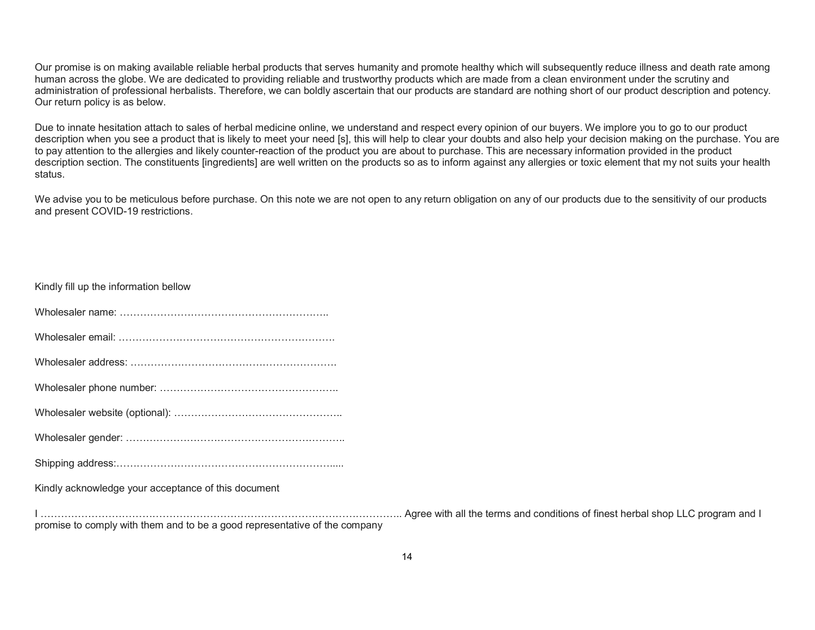Our promise is on making available reliable herbal products that serves humanity and promote healthy which will subsequently reduce illness and death rate among human across the globe. We are dedicated to providing reliable and trustworthy products which are made from a clean environment under the scrutiny and administration of professional herbalists. Therefore, we can boldly ascertain that our products are standard are nothing short of our product description and potency. Our return policy is as below.

Due to innate hesitation attach to sales of herbal medicine online, we understand and respect every opinion of our buyers. We implore you to go to our product description when you see a product that is likely to meet your need [s], this will help to clear your doubts and also help your decision making on the purchase. You are to pay attention to the allergies and likely counter-reaction of the product you are about to purchase. This are necessary information provided in the product description section. The constituents [ingredients] are well written on the products so as to inform against any allergies or toxic element that my not suits your health status.

We advise you to be meticulous before purchase. On this note we are not open to any return obligation on any of our products due to the sensitivity of our products and present COVID-19 restrictions.

| Kindly fill up the information bellow                                                                                                                                                                       |
|-------------------------------------------------------------------------------------------------------------------------------------------------------------------------------------------------------------|
|                                                                                                                                                                                                             |
|                                                                                                                                                                                                             |
|                                                                                                                                                                                                             |
|                                                                                                                                                                                                             |
|                                                                                                                                                                                                             |
|                                                                                                                                                                                                             |
|                                                                                                                                                                                                             |
| Kindly acknowledge your acceptance of this document                                                                                                                                                         |
| <u>   ……………………………………………………………………………………</u><br>Agree with all the terms and conditions of finest herbal shop LLC program and I<br>promise to comply with them and to be a good representative of the company |